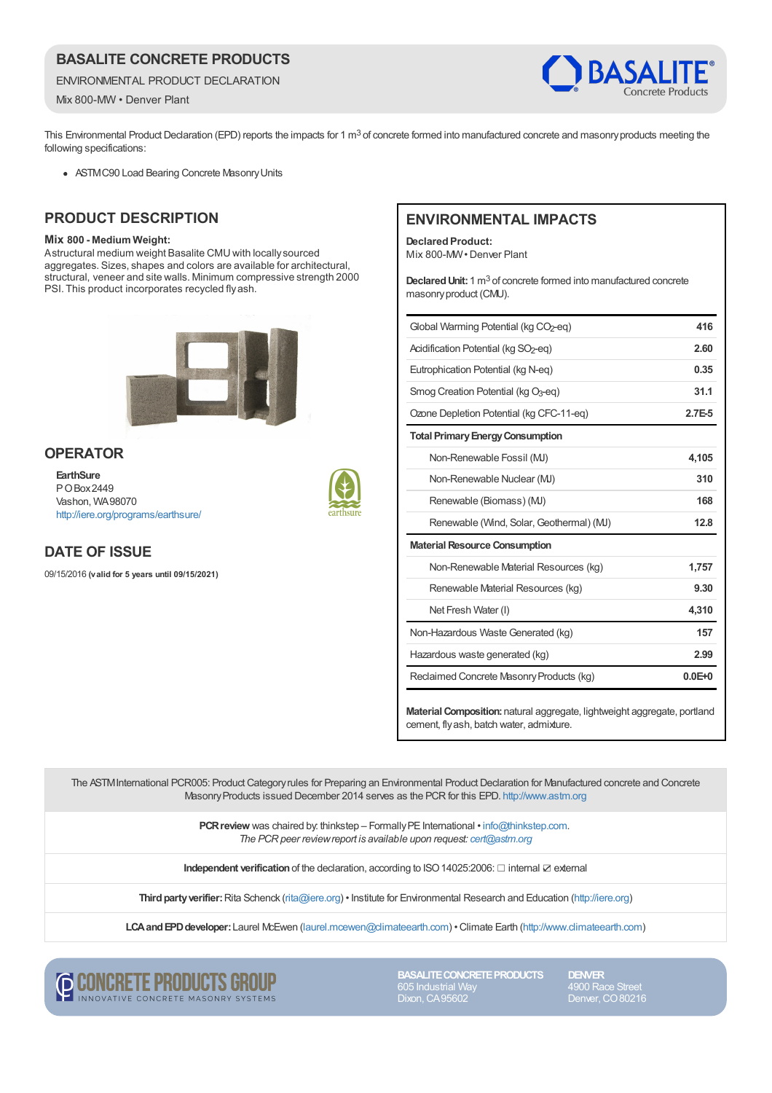## **BASALITE CONCRETE PRODUCTS**

ENVIRONMENTAL PRODUCT DECLARATION

Mix 800-MW • Denver Plant



This Environmental Product Declaration (EPD) reports the impacts for 1 m<sup>3</sup> of concrete formed into manufactured concrete and masonry products meeting the following specifications:

ASTM C90 Load Bearing Concrete Masonry Units

## **PRODUCT DESCRIPTION**

#### **Mix 800 - Medium Weight:**

Astructural medium weight Basalite CMU with locally sourced aggregates. Sizes, shapes and colors are available for architectural, structural, veneer and site walls. Minimum compressive strength 2000 PSI. This product incorporates recycled fly ash.



#### **OPERATOR**

**EarthSure** P O Box 2449 Vashon, WA 98070 <http://iere.org/programs/earthsure/>



## **DATE OF ISSUE**

09/15/2016 **(valid for 5 years until 09/15/2021)**

#### **ENVIRONMENTAL IMPACTS**

**Declared Product:** Mix 800-MW · Denver Plant

Declared Unit: 1 m<sup>3</sup> of concrete formed into manufactured concrete masonry product (CMU).

| Global Warming Potential (kg CO <sub>2</sub> -eg) | 416        |
|---------------------------------------------------|------------|
| Acidification Potential (kg SO <sub>2</sub> -eg)  | 2.60       |
| Eutrophication Potential (kg N-eg)                | 0.35       |
| Smog Creation Potential (kg O <sub>3</sub> -eg)   | 31.1       |
| Ozone Depletion Potential (kg CFC-11-eg)          | $2.7E-5$   |
| <b>Total Primary Energy Consumption</b>           |            |
| Non-Renewable Fossil (MJ)                         | 4,105      |
| Non-Renewable Nuclear (MJ)                        | 310        |
| Renewable (Biomass) (MJ)                          | 168        |
| Renewable (Wind, Solar, Geothermal) (MJ)          | 12.8       |
| <b>Material Resource Consumption</b>              |            |
| Non-Renewable Material Resources (kg)             | 1,757      |
| Renewable Material Resources (kg)                 | 9.30       |
| Net Fresh Water (I)                               | 4,310      |
| Non-Hazardous Waste Generated (kg)                | 157        |
| Hazardous waste generated (kg)                    | 2.99       |
| Reclaimed Concrete Masonry Products (kg)          | $0.0E + 0$ |
|                                                   |            |

**Material Composition:**natural aggregate, lightweight aggregate, portland cement, fly ash, batch water, admixture.

The ASTM International PCR005: Product Category rules for Preparing an Environmental Product Declaration for Manufactured concrete and Concrete Masonry Products issued December 2014 serves as the PCR for this EPD.<http://www.astm.org>

> **PCR review** was chaired by: thinkstep – Formally PE International • [info@thinkstep.com](mailto:info@thinkstep.com). *The PCR peer review report is available upon request: [cert@astm.org](mailto:cert@astm.org)*

**Independent verification** of the declaration, according to ISO 14025:2006: ☐ internal ☑ external

**Third party verifier:** Rita Schenck [\(rita@iere.org](mailto:rita@iere.org)) • Institute for Environmental Research and Education [\(http://iere.org](http://iere.org))

**LCA and EPD developer:** Laurel McEwen [\(laurel.mcewen@climateearth.com](mailto:laurel.mcewen@climateearth.com)) • Climate Earth [\(http://www.climateearth.com](http://www.climateearth.com))



**BASALITE CONCRETE PRODUCTS** Dixon, CA 95602

**DENVER** Denver, CO 80216